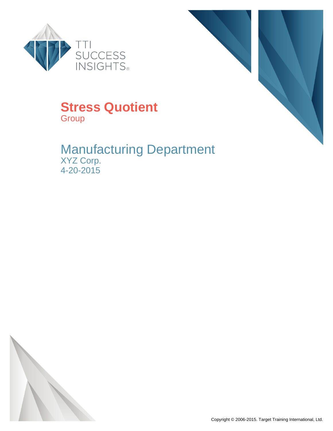



### **Stress Quotient Group**

### Manufacturing Department XYZ Corp. 4-20-2015

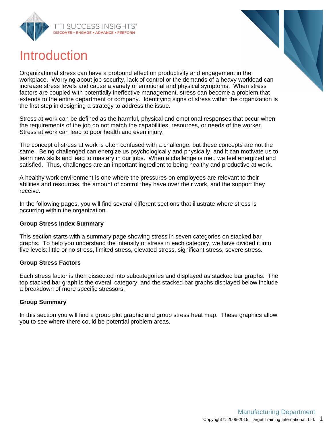





Organizational stress can have a profound effect on productivity and engagement in the workplace. Worrying about job security, lack of control or the demands of a heavy workload can increase stress levels and cause a variety of emotional and physical symptoms. When stress factors are coupled with potentially ineffective management, stress can become a problem that extends to the entire department or company. Identifying signs of stress within the organization is the first step in designing a strategy to address the issue.

Stress at work can be defined as the harmful, physical and emotional responses that occur when the requirements of the job do not match the capabilities, resources, or needs of the worker. Stress at work can lead to poor health and even injury.

The concept of stress at work is often confused with a challenge, but these concepts are not the same. Being challenged can energize us psychologically and physically, and it can motivate us to learn new skills and lead to mastery in our jobs. When a challenge is met, we feel energized and satisfied. Thus, challenges are an important ingredient to being healthy and productive at work.

A healthy work environment is one where the pressures on employees are relevant to their abilities and resources, the amount of control they have over their work, and the support they receive.

In the following pages, you will find several different sections that illustrate where stress is occurring within the organization.

#### **Group Stress Index Summary**

This section starts with a summary page showing stress in seven categories on stacked bar graphs. To help you understand the intensity of stress in each category, we have divided it into five levels: little or no stress, limited stress, elevated stress, significant stress, severe stress.

#### **Group Stress Factors**

Each stress factor is then dissected into subcategories and displayed as stacked bar graphs. The top stacked bar graph is the overall category, and the stacked bar graphs displayed below include a breakdown of more specific stressors.

#### **Group Summary**

In this section you will find a group plot graphic and group stress heat map. These graphics allow you to see where there could be potential problem areas.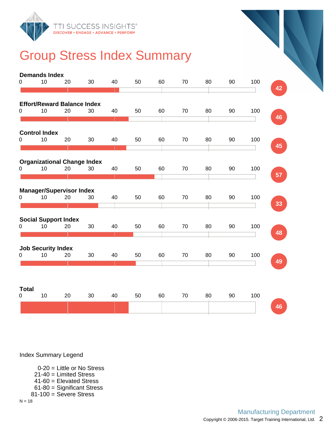

# Group Stress Index Summary

|                   | <b>Demands Index</b>      |                                    |                                    |    |    |    |    |    |    |     |    |
|-------------------|---------------------------|------------------------------------|------------------------------------|----|----|----|----|----|----|-----|----|
| 0                 | 10                        | 20                                 | 30                                 | 40 | 50 | 60 | 70 | 80 | 90 | 100 |    |
|                   |                           |                                    |                                    |    |    |    |    |    |    |     | 42 |
|                   |                           | <b>Effort/Reward Balance Index</b> |                                    |    |    |    |    |    |    |     |    |
| 0                 | 10                        | 20                                 | 30                                 | 40 | 50 | 60 | 70 | 80 | 90 | 100 |    |
|                   |                           |                                    |                                    |    |    |    |    |    |    |     | 46 |
|                   | <b>Control Index</b>      |                                    |                                    |    |    |    |    |    |    |     |    |
| 0                 | 10                        | 20                                 | 30                                 | 40 | 50 | 60 | 70 | 80 | 90 | 100 |    |
|                   |                           |                                    |                                    |    |    |    |    |    |    |     | 45 |
|                   |                           |                                    | <b>Organizational Change Index</b> |    |    |    |    |    |    |     |    |
| 0                 | 10                        | 20                                 | 30                                 | 40 | 50 | 60 | 70 | 80 | 90 | 100 |    |
|                   |                           |                                    |                                    |    |    |    |    |    |    |     | 57 |
|                   |                           | <b>Manager/Supervisor Index</b>    |                                    |    |    |    |    |    |    |     |    |
| 0                 | 10                        | 20                                 | 30                                 | 40 | 50 | 60 | 70 | 80 | 90 | 100 |    |
|                   |                           |                                    |                                    |    |    |    |    |    |    |     | 33 |
|                   |                           | <b>Social Support Index</b>        |                                    |    |    |    |    |    |    |     |    |
| 0                 | 10                        | 20                                 | 30                                 | 40 | 50 | 60 | 70 | 80 | 90 | 100 |    |
|                   |                           |                                    |                                    |    |    |    |    |    |    |     | 48 |
|                   | <b>Job Security Index</b> |                                    |                                    |    |    |    |    |    |    |     |    |
| 0                 | 10                        | 20                                 | 30                                 | 40 | 50 | 60 | 70 | 80 | 90 | 100 |    |
|                   |                           |                                    |                                    |    |    |    |    |    |    |     | 49 |
|                   |                           |                                    |                                    |    |    |    |    |    |    |     |    |
|                   |                           |                                    |                                    |    |    |    |    |    |    |     |    |
| <b>Total</b><br>0 | 10                        | 20                                 | 30                                 | 40 | 50 | 60 | 70 | 80 | 90 | 100 |    |
|                   |                           |                                    |                                    |    |    |    |    |    |    |     | 46 |
|                   |                           |                                    |                                    |    |    |    |    |    |    |     |    |

Index Summary Legend

0-20 = Little or No Stress 21-40 = Limited Stress 41-60 = Elevated Stress

- 61-80 = Significant Stress
- 81-100 = Severe Stress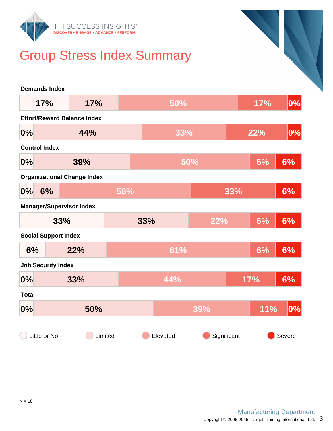

# Group Stress Index Summary

| <b>Demands Index</b>               |                                    |     |     |          |     |             |            |         |
|------------------------------------|------------------------------------|-----|-----|----------|-----|-------------|------------|---------|
| 17%                                | 17%                                |     |     | 50%      |     |             | 17%        | $ 0\% $ |
| <b>Effort/Reward Balance Index</b> |                                    |     |     |          |     |             |            |         |
| 0%                                 | 44%                                |     |     | 33%      |     |             | <b>22%</b> | $ 0\% $ |
| <b>Control Index</b>               |                                    |     |     |          |     |             |            |         |
| 0%                                 | 39%                                |     |     |          | 50% |             | 6%         | 6%      |
|                                    | <b>Organizational Change Index</b> |     |     |          |     |             |            |         |
| 0%<br>6%                           |                                    | 56% |     |          |     | 33%         |            | 6%      |
| <b>Manager/Supervisor Index</b>    |                                    |     |     |          |     |             |            |         |
|                                    | 33%                                |     | 33% |          | 22% |             | 6%         | 6%      |
| <b>Social Support Index</b>        |                                    |     |     |          |     |             |            |         |
| 6%                                 | 22%                                |     |     | 61%      |     |             | 6%         | 6%      |
| <b>Job Security Index</b>          |                                    |     |     |          |     |             |            |         |
| 0%                                 | 33%                                |     |     | 44%      |     |             | <b>17%</b> | 6%      |
| <b>Total</b>                       |                                    |     |     |          |     |             |            |         |
| 0%                                 | 50%                                |     |     |          | 39% |             | <b>11%</b> | $ 0\% $ |
| Little or No                       | Limited                            |     |     | Elevated |     | Significant |            | Severe  |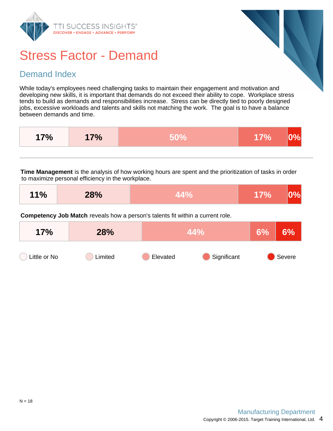

### Stress Factor - Demand

#### Demand Index

While today's employees need challenging tasks to maintain their engagement and motivation and developing new skills, it is important that demands do not exceed their ability to cope. Workplace stress tends to build as demands and responsibilities increase. Stress can be directly tied to poorly designed jobs, excessive workloads and talents and skills not matching the work. The goal is to have a balance between demands and time.

| 17% | 7% | 707 |  |
|-----|----|-----|--|
|     |    |     |  |

**Time Management** is the analysis of how working hours are spent and the prioritization of tasks in order to maximize personal efficiency in the workplace.

| 11%<br>28% | $\Delta\Delta\Omega_{\alpha}$ | $\sim$ 17% $\sim$ 0% |  |
|------------|-------------------------------|----------------------|--|
|------------|-------------------------------|----------------------|--|

**Competency Job Match** reveals how a person's talents fit within a current role.

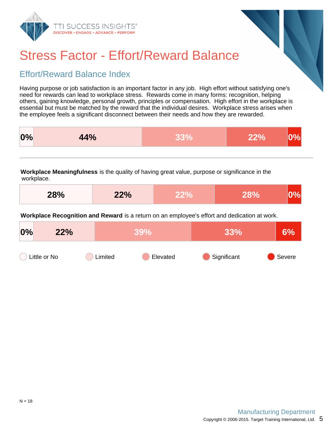



# Stress Factor - Effort/Reward Balance

### Effort/Reward Balance Index

Having purpose or job satisfaction is an important factor in any job. High effort without satisfying one's need for rewards can lead to workplace stress. Rewards come in many forms: recognition, helping others, gaining knowledge, personal growth, principles or compensation. High effort in the workplace is essential but must be matched by the reward that the individual desires. Workplace stress arises when the employee feels a significant disconnect between their needs and how they are rewarded.

| 0% | 44% |  |  |
|----|-----|--|--|
|    |     |  |  |

**Workplace Meaningfulness** is the quality of having great value, purpose or significance in the workplace.

| 28% | 22% | 28% | 0% |
|-----|-----|-----|----|
|     |     |     |    |

**Workplace Recognition and Reward** is a return on an employee's effort and dedication at work.

| 0% | 22%          | <b>39%</b> |          | 33%         | 6%     |
|----|--------------|------------|----------|-------------|--------|
|    | Little or No | Limited    | Elevated | Significant | Severe |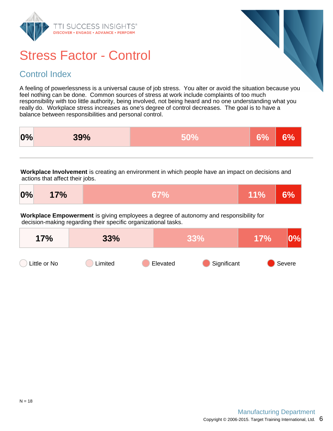

## Stress Factor - Control

### Control Index

A feeling of powerlessness is a universal cause of job stress. You alter or avoid the situation because you feel nothing can be done. Common sources of stress at work include complaints of too much responsibility with too little authority, being involved, not being heard and no one understanding what you really do. Workplace stress increases as one's degree of control decreases. The goal is to have a balance between responsibilities and personal control.

|  | 0% | 39% | <b>60%</b> | <b>CO/</b> |  |
|--|----|-----|------------|------------|--|
|--|----|-----|------------|------------|--|

**Workplace Involvement** is creating an environment in which people have an impact on decisions and actions that affect their jobs.

| $0\%$                                                                                                                                                   | 17% | 67% | <b>11%</b> | 6% |  |  |  |  |
|---------------------------------------------------------------------------------------------------------------------------------------------------------|-----|-----|------------|----|--|--|--|--|
| Workplace Empowerment is giving employees a degree of autonomy and responsibility for<br>decision-making regarding their specific organizational tasks. |     |     |            |    |  |  |  |  |

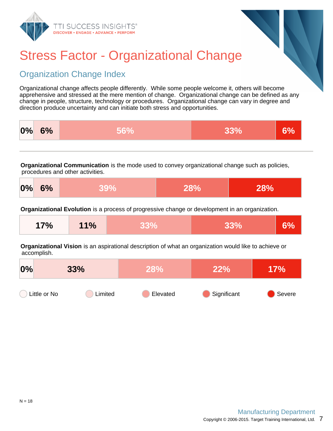



# Stress Factor - Organizational Change

### Organization Change Index

Organizational change affects people differently. While some people welcome it, others will become apprehensive and stressed at the mere mention of change. Organizational change can be defined as any change in people, structure, technology or procedures. Organizational change can vary in degree and direction produce uncertainty and can initiate both stress and opportunities.



**Organizational Communication** is the mode used to convey organizational change such as policies, procedures and other activities.

| 0%<br>6%<br>28%<br>$39\%$ | 28% |
|---------------------------|-----|
|---------------------------|-----|

**Organizational Evolution** is a process of progressive change or development in an organization.

| 17% | 11% | R 20Y | 33% | 6% |
|-----|-----|-------|-----|----|
|-----|-----|-------|-----|----|

**Organizational Vision** is an aspirational description of what an organization would like to achieve or accomplish.

| 0%           | 33%     | <b>28%</b> | 22%         | 7%     |
|--------------|---------|------------|-------------|--------|
| Little or No | Limited | Elevated   | Significant | Severe |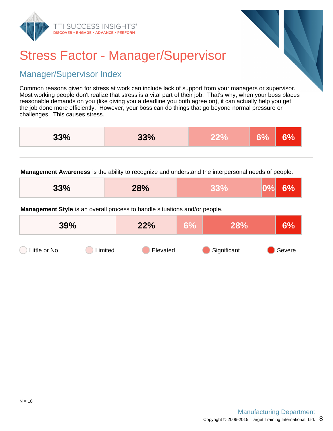



# Stress Factor - Manager/Supervisor

### Manager/Supervisor Index

Common reasons given for stress at work can include lack of support from your managers or supervisor. Most working people don't realize that stress is a vital part of their job. That's why, when your boss places reasonable demands on you (like giving you a deadline you both agree on), it can actually help you get the job done more efficiently. However, your boss can do things that go beyond normal pressure or challenges. This causes stress.

| 33% | 33% | 7 U | <b>201</b> | Ό |
|-----|-----|-----|------------|---|
|     |     |     |            |   |

**Management Awareness** is the ability to recognize and understand the interpersonal needs of people.

| 33% | 28% | . . | 6%<br>$ 0\% $ |
|-----|-----|-----|---------------|
|-----|-----|-----|---------------|

**Management Style** is an overall process to handle situations and/or people.

| 39%          |         | 22%      | $6\%$ | 28%         | 6%     |
|--------------|---------|----------|-------|-------------|--------|
| Little or No | Limited | Elevated |       | Significant | Severe |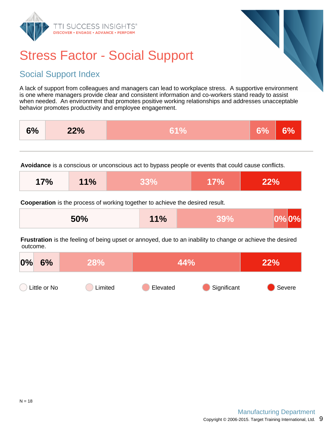

# Stress Factor - Social Support

### Social Support Index

A lack of support from colleagues and managers can lead to workplace stress. A supportive environment is one where managers provide clear and consistent information and co-workers stand ready to assist when needed. An environment that promotes positive working relationships and addresses unacceptable behavior promotes productivity and employee engagement.

|  | 6% | 22% | ZU | (המ | u |
|--|----|-----|----|-----|---|
|--|----|-----|----|-----|---|

**Avoidance** is a conscious or unconscious act to bypass people or events that could cause conflicts.

| 17% | 11% | <b>1350Y</b> | 17% | 22% |
|-----|-----|--------------|-----|-----|
|-----|-----|--------------|-----|-----|

**Cooperation** is the process of working together to achieve the desired result.

| 50% | 11% |  | $ 0\% 0\% $ |
|-----|-----|--|-------------|
|-----|-----|--|-------------|

**Frustration** is the feeling of being upset or annoyed, due to an inability to change or achieve the desired outcome.

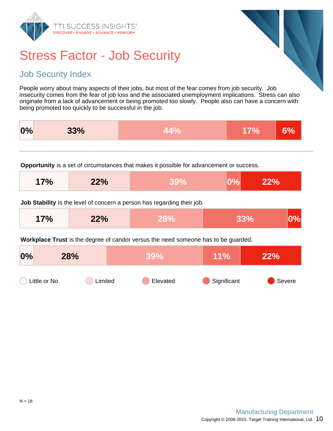

# Stress Factor - Job Security

#### Job Security Index

People worry about many aspects of their jobs, but most of the fear comes from job security. Job insecurity comes from the fear of job loss and the associated unemployment implications. Stress can also originate from a lack of advancement or being promoted too slowly. People also can have a concern with being promoted too quickly to be successful in the job.

|  | 0% | 33% |  |  |  |
|--|----|-----|--|--|--|
|--|----|-----|--|--|--|

**Opportunity** is a set of circumstances that makes it possible for advancement or success.

| 17% | 22% |  | <b>LO%</b> | 22% |
|-----|-----|--|------------|-----|
|-----|-----|--|------------|-----|

**Job Stability** is the level of concern a person has regarding their job.

| 17% | 22% |  | 33% | $ 0\% $ |
|-----|-----|--|-----|---------|
|-----|-----|--|-----|---------|

**Workplace Trust** is the degree of candor versus the need someone has to be guarded.

| 0%           | 28%     | 39%      | 11%         | 22%    |
|--------------|---------|----------|-------------|--------|
| Little or No | Limited | Elevated | Significant | Severe |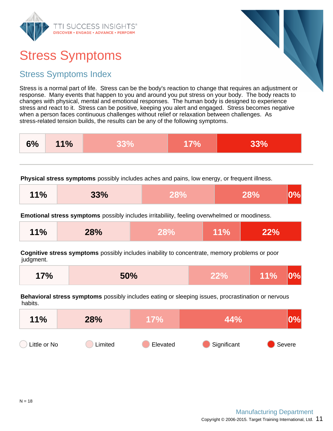

# Stress Symptoms

### Stress Symptoms Index

Stress is a normal part of life. Stress can be the body's reaction to change that requires an adjustment or response. Many events that happen to you and around you put stress on your body. The body reacts to changes with physical, mental and emotional responses. The human body is designed to experience stress and react to it. Stress can be positive, keeping you alert and engaged. Stress becomes negative when a person faces continuous challenges without relief or relaxation between challenges. As stress-related tension builds, the results can be any of the following symptoms.

| 6%<br>11% |
|-----------|
|-----------|

**Physical stress symptoms** possibly includes aches and pains, low energy, or frequent illness.

| 11%<br>33% | 28% | 28% | $ 0\% $ |
|------------|-----|-----|---------|
|------------|-----|-----|---------|

**Emotional stress symptoms** possibly includes irritabiliity, feeling overwhelmed or moodiness.

| 11%<br>28% | 28% | $\sqrt{11\%}$ | 22% |
|------------|-----|---------------|-----|
|------------|-----|---------------|-----|

**Cognitive stress symptoms** possibly includes inability to concentrate, memory problems or poor judgment.

**Behavioral stress symptoms** possibly includes eating or sleeping issues, procrastination or nervous habits.

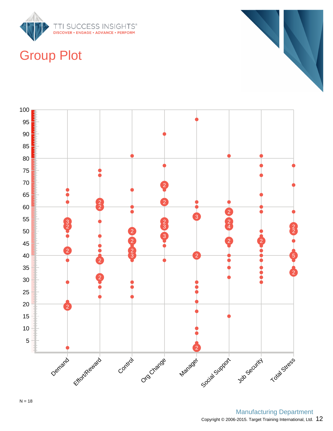

## Group Plot





Copyright © 2006-2015. Target Training International, Ltd.  $12$ Manufacturing Department